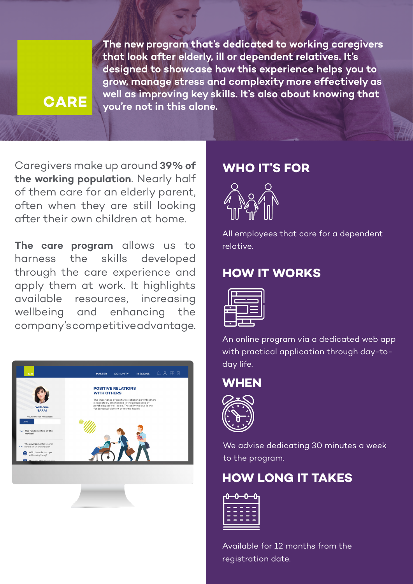### **CARE**

**The new program that's dedicated to working caregivers that look after elderly, ill or dependent relatives. It's designed to showcase how this experience helps you to grow, manage stress and complexity more effectively as well as improving key skills. It's also about knowing that you're not in this alone.**

Caregivers make up around **39% of the working population**. Nearly half of them care for an elderly parent, often when they are still looking after their own children at home.

**The care program** allows us to harness the skills developed through the care experience and apply them at work. It highlights available resources, increasing wellbeing and enhancing the company's competitive advantage.



#### **WHO IT'S FOR**



All employees that care for a dependent relative.

### **HOW IT WORKS**



An online program via a dedicated web app with practical application through day-today life.





We advise dedicating 30 minutes a week to the program.

### **HOW LONG IT TAKES**

| н<br>- |
|--------|
| ÷      |
|        |
|        |

Available for 12 months from the registration date.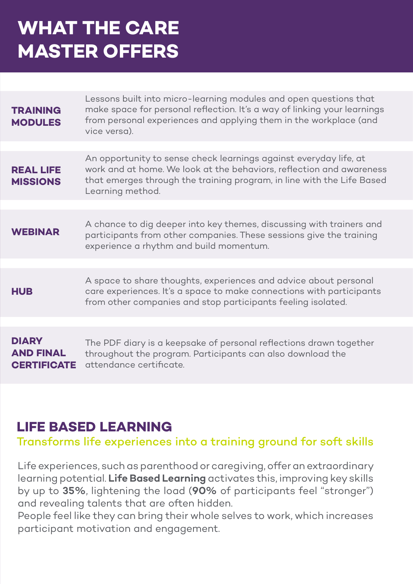## **WHAT THE CARE MASTER OFFERS**

| <b>TRAINING</b><br><b>MODULES</b>                      | Lessons built into micro-learning modules and open questions that<br>make space for personal reflection. It's a way of linking your learnings<br>from personal experiences and applying them in the workplace (and<br>vice versa).      |
|--------------------------------------------------------|-----------------------------------------------------------------------------------------------------------------------------------------------------------------------------------------------------------------------------------------|
|                                                        |                                                                                                                                                                                                                                         |
| <b>REAL LIFE</b><br><b>MISSIONS</b>                    | An opportunity to sense check learnings against everyday life, at<br>work and at home. We look at the behaviors, reflection and awareness<br>that emerges through the training program, in line with the Life Based<br>Learning method. |
|                                                        |                                                                                                                                                                                                                                         |
| <b>WEBINAR</b>                                         | A chance to dig deeper into key themes, discussing with trainers and<br>participants from other companies. These sessions give the training<br>experience a rhythm and build momentum.                                                  |
|                                                        |                                                                                                                                                                                                                                         |
| <b>HUB</b>                                             | A space to share thoughts, experiences and advice about personal<br>care experiences. It's a space to make connections with participants<br>from other companies and stop participants feeling isolated.                                |
|                                                        |                                                                                                                                                                                                                                         |
| <b>DIARY</b><br><b>AND FINAL</b><br><b>CERTIFICATE</b> | The PDF diary is a keepsake of personal reflections drawn together<br>throughout the program. Participants can also download the<br>attendance certificate.                                                                             |

## **LIFE BASED LEARNING**

#### Transforms life experiences into a training ground for soft skills

Life experiences, such as parenthood or caregiving, offer an extraordinary learning potential. **Life Based Learning** activates this, improving key skills by up to **35%**, lightening the load (**90%** of participants feel "stronger") and revealing talents that are often hidden.

People feel like they can bring their whole selves to work, which increases participant motivation and engagement.